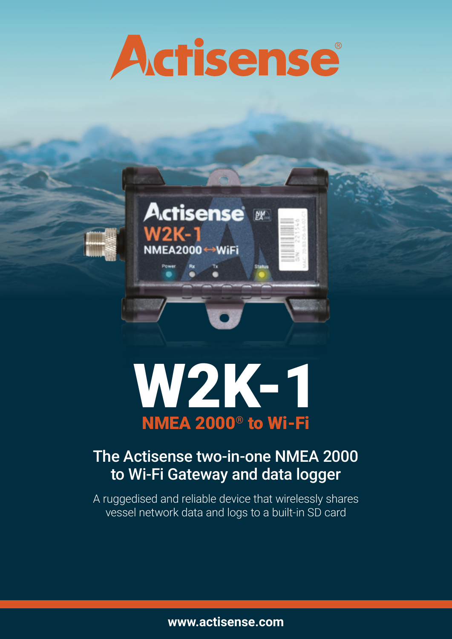



## W2K-1 NMEA 2000® to Wi-Fi

## The Actisense two-in-one NMEA 2000 to Wi-Fi Gateway and data logger

A ruggedised and reliable device that wirelessly shares vessel network data and logs to a built-in SD card

**www.actisense.com**